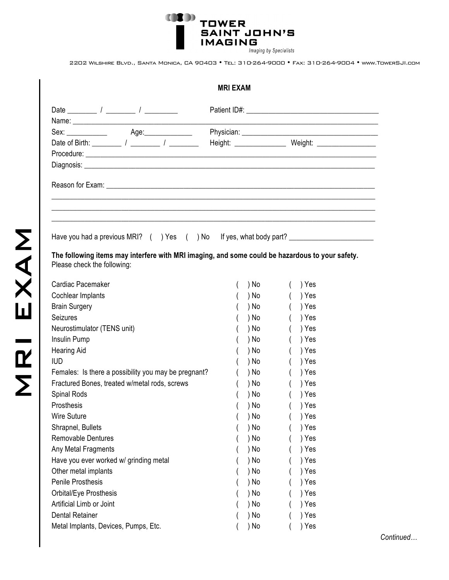**THE TOWER SAINT JOHN'S IMAGING** Imaging by Specialists

2202 Wilshire Blvd., Santa Monica, CA 90403 • Tel: 310-264-9000 • Fax: 310-264-9004 • www.TowerSJI.com

| <b>MRI EXAM</b>                                                                                                                |      |                                                           |  |  |  |
|--------------------------------------------------------------------------------------------------------------------------------|------|-----------------------------------------------------------|--|--|--|
|                                                                                                                                |      |                                                           |  |  |  |
|                                                                                                                                |      |                                                           |  |  |  |
| Sex: ______________   Age:_______________                                                                                      |      |                                                           |  |  |  |
|                                                                                                                                |      | Height: ___________________ Weight: _____________________ |  |  |  |
|                                                                                                                                |      |                                                           |  |  |  |
|                                                                                                                                |      |                                                           |  |  |  |
|                                                                                                                                |      |                                                           |  |  |  |
| The following items may interfere with MRI imaging, and some could be hazardous to your safety.<br>Please check the following: |      |                                                           |  |  |  |
| Cardiac Pacemaker                                                                                                              | ) No | ) Yes                                                     |  |  |  |
| Cochlear Implants                                                                                                              | ) No | ) Yes                                                     |  |  |  |
| <b>Brain Surgery</b>                                                                                                           | ) No | ) Yes                                                     |  |  |  |
| Seizures                                                                                                                       | ) No | ) Yes                                                     |  |  |  |
| Neurostimulator (TENS unit)                                                                                                    | ) No | ) Yes                                                     |  |  |  |
| Insulin Pump                                                                                                                   | ) No | ) Yes                                                     |  |  |  |
| <b>Hearing Aid</b>                                                                                                             | ) No | ) Yes                                                     |  |  |  |
| <b>IUD</b>                                                                                                                     | ) No | ) Yes                                                     |  |  |  |
| Females: Is there a possibility you may be pregnant?                                                                           | ) No | ) Yes                                                     |  |  |  |
| Fractured Bones, treated w/metal rods, screws                                                                                  | ) No | ) Yes                                                     |  |  |  |
| Spinal Rods                                                                                                                    | ) No | ) Yes                                                     |  |  |  |
| Prosthesis                                                                                                                     | ) No | ) Yes                                                     |  |  |  |
| <b>Wire Suture</b>                                                                                                             | ) No | ) Yes                                                     |  |  |  |
| Shrapnel, Bullets                                                                                                              | ) No | ) Yes                                                     |  |  |  |
| Removable Dentures                                                                                                             | ) No | ) Yes                                                     |  |  |  |
| Any Metal Fragments                                                                                                            | ) No | ) Yes                                                     |  |  |  |
| Have you ever worked w/ grinding metal                                                                                         | ) No | ) Yes                                                     |  |  |  |
| Other metal implants                                                                                                           | ) No | ) Yes                                                     |  |  |  |
| Penile Prosthesis                                                                                                              | ) No | ) Yes                                                     |  |  |  |
| Orbital/Eye Prosthesis                                                                                                         | ) No | ) Yes                                                     |  |  |  |
| Artificial Limb or Joint                                                                                                       | ) No | ) Yes                                                     |  |  |  |
| <b>Dental Retainer</b>                                                                                                         | ) No | ) Yes                                                     |  |  |  |
| Metal Implants, Devices, Pumps, Etc.                                                                                           | ) No | ) Yes                                                     |  |  |  |

*Continued…*